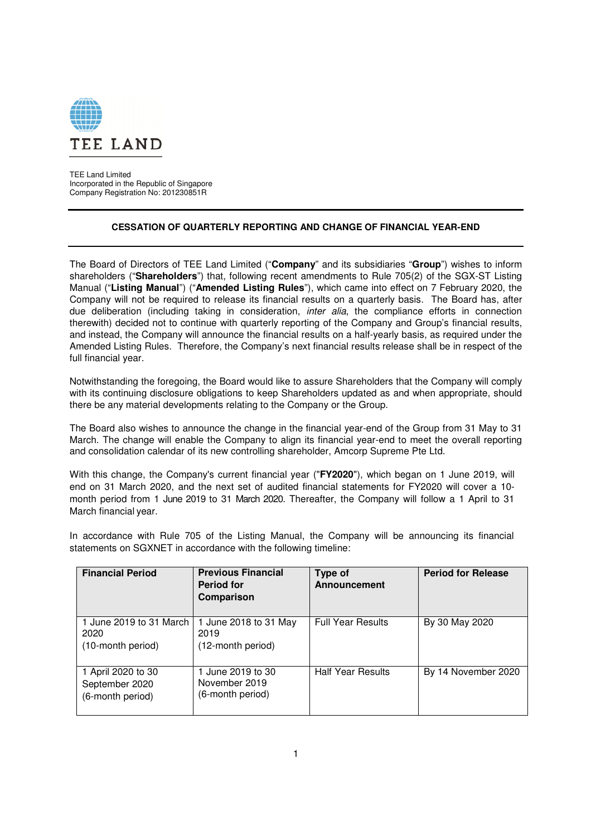

TEE Land Limited Incorporated in the Republic of Singapore Company Registration No: 201230851R

## **CESSATION OF QUARTERLY REPORTING AND CHANGE OF FINANCIAL YEAR-END**

The Board of Directors of TEE Land Limited ("**Company**" and its subsidiaries "**Group**") wishes to inform shareholders ("**Shareholders**") that, following recent amendments to Rule 705(2) of the SGX-ST Listing Manual ("**Listing Manual**") ("**Amended Listing Rules**"), which came into effect on 7 February 2020, the Company will not be required to release its financial results on a quarterly basis. The Board has, after due deliberation (including taking in consideration, *inter alia*, the compliance efforts in connection therewith) decided not to continue with quarterly reporting of the Company and Group's financial results, and instead, the Company will announce the financial results on a half-yearly basis, as required under the Amended Listing Rules. Therefore, the Company's next financial results release shall be in respect of the full financial year.

Notwithstanding the foregoing, the Board would like to assure Shareholders that the Company will comply with its continuing disclosure obligations to keep Shareholders updated as and when appropriate, should there be any material developments relating to the Company or the Group.

The Board also wishes to announce the change in the financial year-end of the Group from 31 May to 31 March. The change will enable the Company to align its financial year-end to meet the overall reporting and consolidation calendar of its new controlling shareholder, Amcorp Supreme Pte Ltd.

With this change, the Company's current financial year ("**FY2020**"), which began on 1 June 2019, will end on 31 March 2020, and the next set of audited financial statements for FY2020 will cover a 10 month period from 1 June 2019 to 31 March 2020. Thereafter, the Company will follow a 1 April to 31 March financial year.

In accordance with Rule 705 of the Listing Manual, the Company will be announcing its financial statements on SGXNET in accordance with the following timeline:

| <b>Financial Period</b>                                  | <b>Previous Financial</b><br><b>Period for</b><br>Comparison | Type of<br>Announcement  | <b>Period for Release</b> |
|----------------------------------------------------------|--------------------------------------------------------------|--------------------------|---------------------------|
| 1 June 2019 to 31 March  <br>2020<br>(10-month period)   | 1 June 2018 to 31 May<br>2019<br>(12-month period)           | <b>Full Year Results</b> | By 30 May 2020            |
| 1 April 2020 to 30<br>September 2020<br>(6-month period) | 1 June 2019 to 30<br>November 2019<br>(6-month period)       | <b>Half Year Results</b> | By 14 November 2020       |